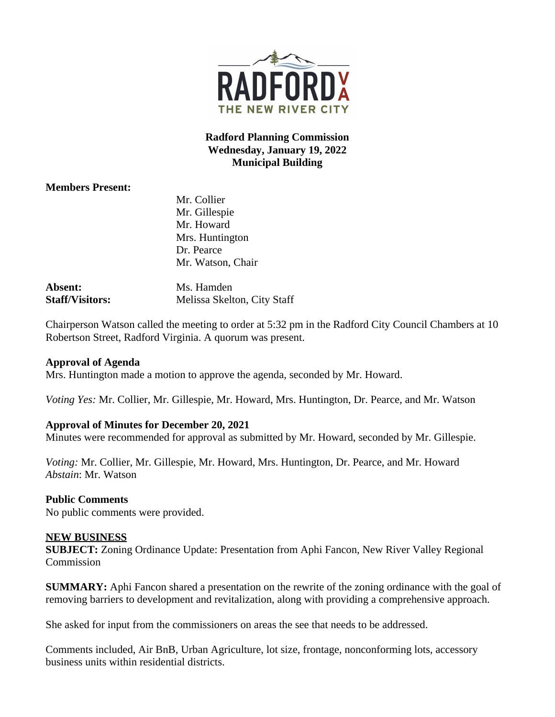

**Radford Planning Commission Wednesday, January 19, 2022 Municipal Building**

# **Members Present:**

|                | Mr. Collier       |
|----------------|-------------------|
|                | Mr. Gillespie     |
|                | Mr. Howard        |
|                | Mrs. Huntington   |
|                | Dr. Pearce        |
|                | Mr. Watson, Chair |
| <b>Absent:</b> | Ms. Hamden        |

**Staff/Visitors:** Melissa Skelton, City Staff

Chairperson Watson called the meeting to order at 5:32 pm in the Radford City Council Chambers at 10 Robertson Street, Radford Virginia. A quorum was present.

## **Approval of Agenda**

Mrs. Huntington made a motion to approve the agenda, seconded by Mr. Howard.

*Voting Yes:* Mr. Collier, Mr. Gillespie, Mr. Howard, Mrs. Huntington, Dr. Pearce, and Mr. Watson

### **Approval of Minutes for December 20, 2021**

Minutes were recommended for approval as submitted by Mr. Howard, seconded by Mr. Gillespie.

*Voting:* Mr. Collier, Mr. Gillespie, Mr. Howard, Mrs. Huntington, Dr. Pearce, and Mr. Howard *Abstain*: Mr. Watson

## **Public Comments**

No public comments were provided.

## **NEW BUSINESS**

**SUBJECT:** Zoning Ordinance Update: Presentation from Aphi Fancon, New River Valley Regional Commission

**SUMMARY:** Aphi Fancon shared a presentation on the rewrite of the zoning ordinance with the goal of removing barriers to development and revitalization, along with providing a comprehensive approach.

She asked for input from the commissioners on areas the see that needs to be addressed.

Comments included, Air BnB, Urban Agriculture, lot size, frontage, nonconforming lots, accessory business units within residential districts.